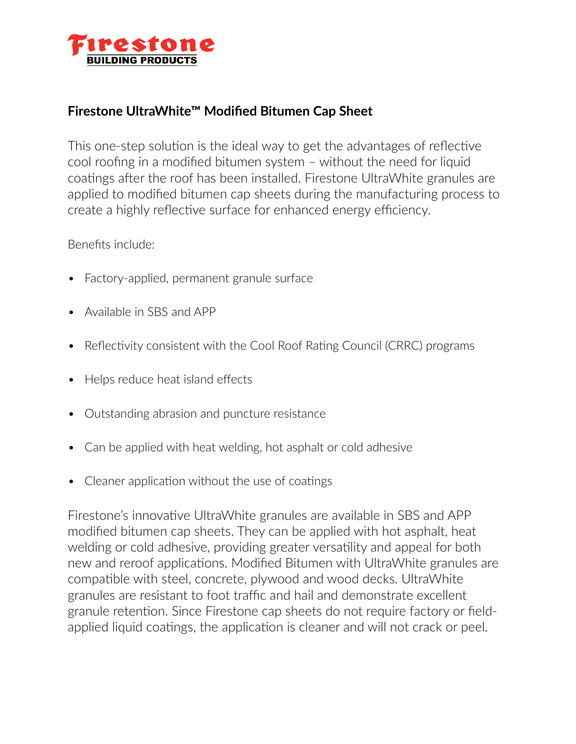

## **Firestone UltraWhite™ Modified Bitumen Cap Sheet**

This one-step solution is the ideal way to get the advantages of reflective cool roofing in a modified bitumen system – without the need for liquid coatings after the roof has been installed. Firestone UltraWhite granules are applied to modified bitumen cap sheets during the manufacturing process to create a highly reflective surface for enhanced energy efficiency.

Benefits include:

- Factory-applied, permanent granule surface
- Available in SBS and APP
- Reflectivity consistent with the Cool Roof Rating Council (CRRC) programs
- Helps reduce heat island effects
- Outstanding abrasion and puncture resistance
- Can be applied with heat welding, hot asphalt or cold adhesive
- Cleaner application without the use of coatings

Firestone's innovative UltraWhite granules are available in SBS and APP modified bitumen cap sheets. They can be applied with hot asphalt, heat welding or cold adhesive, providing greater versatility and appeal for both new and reroof applications. Modified Bitumen with UltraWhite granules are compatible with steel, concrete, plywood and wood decks. UltraWhite granules are resistant to foot traffic and hail and demonstrate excellent granule retention. Since Firestone cap sheets do not require factory or fieldapplied liquid coatings, the application is cleaner and will not crack or peel.